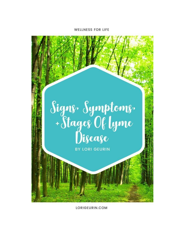#### **WELLNESS FOR LIFE**



LORIGEURIN.COM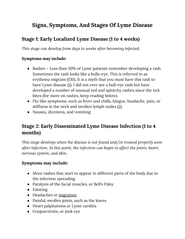# **Signs, Symptoms, And Stages Of Lyme Disease**

## **Stage 1: Early Localized Lyme Disease (1 to 4 weeks)**

*This stage can develop from days to weeks after becoming infected.*

### **Symptoms may include:**

- Rashes Less than 50% of Lyme patients remember developing a rash. Sometimes the rash looks like a bulls-eye. This is referred to as erythema migrans (EM). It is a myth that you must have this rash to have Lyme disease [\(1](http://www.ilads.org/lyme/about-lyme.php)). I did not ever see a bull-eye rash but have developed a number of unusual red and splotchy rashes since the tick bites (for more on rashes, keep reading below).
- Flu-like symptoms, such as fever and chills, fatigue, headache, pain, or stiffness in the neck and swollen lymph nodes  $(2)$  $(2)$ .
- Nausea, dizziness, and vomiting

## **Stage 2: Early Disseminated Lyme Disease Infection (1 to 4 months)**

*This stage develops when the disease is not found and/or treated properly soon after infection. At this point, the infection can begin to affect the joints, heart, nervous system, and skin.*

### **Symptoms may include:**

- More rashes that start to appear in different parts of the body due to the infection spreading
- Paralysis of the facial muscles, or Bell's Palsy
- Fainting
- Headaches or [migraines](https://www.lorigeurin.com/signs-youre-having-a-migraine/)
- Painful, swollen joints, such as the knees
- Heart palpitations or Lyme carditis
- Conjunctivitis, or pink eye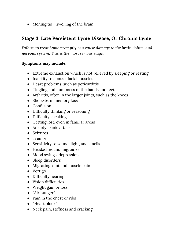$\bullet$  Meningitis – swelling of the brain

## **Stage 3: Late Persistent Lyme Disease, Or Chronic Lyme**

*Failure to treat Lyme promptly can cause damage to the brain, joints, and nervous system. This is the most serious stage.*

#### **Symptoms may include:**

- Extreme exhaustion which is not relieved by sleeping or resting
- Inability to control facial muscles
- Heart problems, such as pericarditis
- Tingling and numbness of the hands and feet
- Arthritis, often in the larger joints, such as the knees
- Short-term memory loss
- Confusion
- Difficulty thinking or reasoning
- Difficulty speaking
- Getting lost, even in familiar areas
- Anxiety, panic attacks
- Seizures
- Tremor
- Sensitivity to sound, light, and smells
- Headaches and migraines
- Mood swings, depression
- Sleep disorders
- Migrating joint and muscle pain
- Vertigo
- Difficulty hearing
- Vision difficulties
- Weight gain or loss
- "Air hunger"
- Pain in the chest or ribs
- "Heart block"
- Neck pain, stiffness and cracking